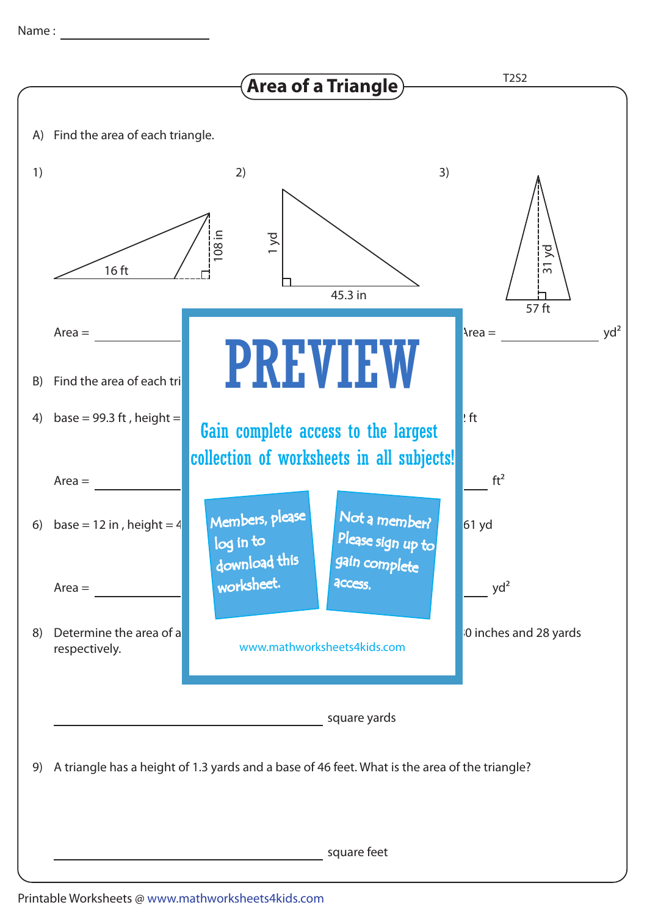